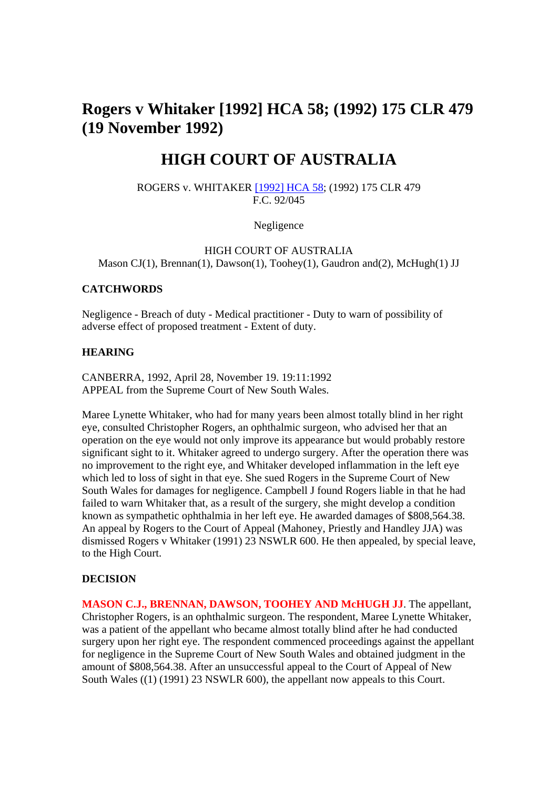# **Rogers v Whitaker [1992] HCA 58; (1992) 175 CLR 479 (19 November 1992)**

## **HIGH COURT OF AUSTRALIA**

ROGERS v. WHITAKER [1992] HCA 58; (1992) 175 CLR 479 F.C. 92/045

Negligence

HIGH COURT OF AUSTRALIA Mason CJ(1), Brennan(1), Dawson(1), Toohey(1), Gaudron and(2), McHugh(1) JJ

#### **CATCHWORDS**

Negligence - Breach of duty - Medical practitioner - Duty to warn of possibility of adverse effect of proposed treatment - Extent of duty.

#### **HEARING**

CANBERRA, 1992, April 28, November 19. 19:11:1992 APPEAL from the Supreme Court of New South Wales.

Maree Lynette Whitaker, who had for many years been almost totally blind in her right eye, consulted Christopher Rogers, an ophthalmic surgeon, who advised her that an operation on the eye would not only improve its appearance but would probably restore significant sight to it. Whitaker agreed to undergo surgery. After the operation there was no improvement to the right eye, and Whitaker developed inflammation in the left eye which led to loss of sight in that eye. She sued Rogers in the Supreme Court of New South Wales for damages for negligence. Campbell J found Rogers liable in that he had failed to warn Whitaker that, as a result of the surgery, she might develop a condition known as sympathetic ophthalmia in her left eye. He awarded damages of \$808,564.38. An appeal by Rogers to the Court of Appeal (Mahoney, Priestly and Handley JJA) was dismissed Rogers v Whitaker (1991) 23 NSWLR 600. He then appealed, by special leave, to the High Court.

#### **DECISION**

**MASON C.J., BRENNAN, DAWSON, TOOHEY AND McHUGH JJ**. The appellant, Christopher Rogers, is an ophthalmic surgeon. The respondent, Maree Lynette Whitaker, was a patient of the appellant who became almost totally blind after he had conducted surgery upon her right eye. The respondent commenced proceedings against the appellant for negligence in the Supreme Court of New South Wales and obtained judgment in the amount of \$808,564.38. After an unsuccessful appeal to the Court of Appeal of New South Wales ((1) (1991) 23 NSWLR 600), the appellant now appeals to this Court.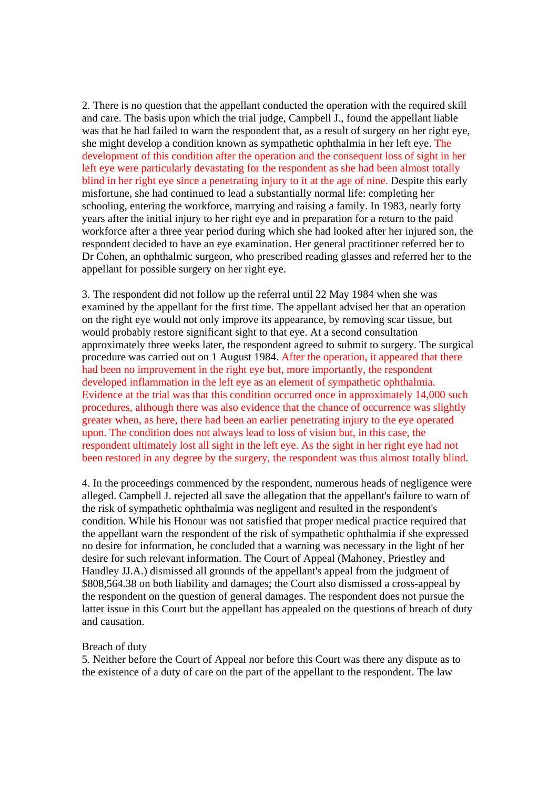2. There is no question that the appellant conducted the operation with the required skill and care. The basis upon which the trial judge, Campbell J., found the appellant liable was that he had failed to warn the respondent that, as a result of surgery on her right eye, she might develop a condition known as sympathetic ophthalmia in her left eye. The development of this condition after the operation and the consequent loss of sight in her left eye were particularly devastating for the respondent as she had been almost totally blind in her right eye since a penetrating injury to it at the age of nine. Despite this early misfortune, she had continued to lead a substantially normal life: completing her schooling, entering the workforce, marrying and raising a family. In 1983, nearly forty years after the initial injury to her right eye and in preparation for a return to the paid workforce after a three year period during which she had looked after her injured son, the respondent decided to have an eye examination. Her general practitioner referred her to Dr Cohen, an ophthalmic surgeon, who prescribed reading glasses and referred her to the appellant for possible surgery on her right eye.

3. The respondent did not follow up the referral until 22 May 1984 when she was examined by the appellant for the first time. The appellant advised her that an operation on the right eye would not only improve its appearance, by removing scar tissue, but would probably restore significant sight to that eye. At a second consultation approximately three weeks later, the respondent agreed to submit to surgery. The surgical procedure was carried out on 1 August 1984. After the operation, it appeared that there had been no improvement in the right eye but, more importantly, the respondent developed inflammation in the left eye as an element of sympathetic ophthalmia. Evidence at the trial was that this condition occurred once in approximately 14,000 such procedures, although there was also evidence that the chance of occurrence was slightly greater when, as here, there had been an earlier penetrating injury to the eye operated upon. The condition does not always lead to loss of vision but, in this case, the respondent ultimately lost all sight in the left eye. As the sight in her right eye had not been restored in any degree by the surgery, the respondent was thus almost totally blind.

4. In the proceedings commenced by the respondent, numerous heads of negligence were alleged. Campbell J. rejected all save the allegation that the appellant's failure to warn of the risk of sympathetic ophthalmia was negligent and resulted in the respondent's condition. While his Honour was not satisfied that proper medical practice required that the appellant warn the respondent of the risk of sympathetic ophthalmia if she expressed no desire for information, he concluded that a warning was necessary in the light of her desire for such relevant information. The Court of Appeal (Mahoney, Priestley and Handley JJ.A.) dismissed all grounds of the appellant's appeal from the judgment of \$808,564.38 on both liability and damages; the Court also dismissed a cross-appeal by the respondent on the question of general damages. The respondent does not pursue the latter issue in this Court but the appellant has appealed on the questions of breach of duty and causation.

#### Breach of duty

5. Neither before the Court of Appeal nor before this Court was there any dispute as to the existence of a duty of care on the part of the appellant to the respondent. The law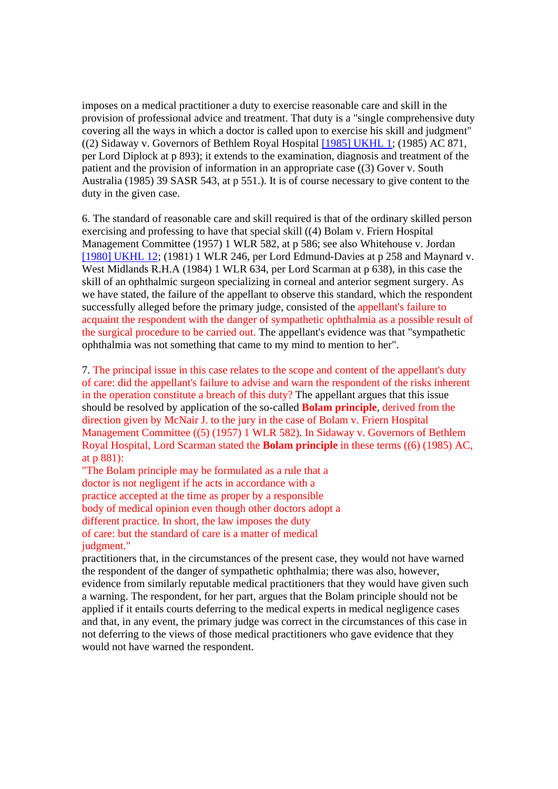imposes on a medical practitioner a duty to exercise reasonable care and skill in the provision of professional advice and treatment. That duty is a "single comprehensive duty covering all the ways in which a doctor is called upon to exercise his skill and judgment" ((2) Sidaway v. Governors of Bethlem Royal Hospital [1985] UKHL 1; (1985) AC 871, per Lord Diplock at p 893); it extends to the examination, diagnosis and treatment of the patient and the provision of information in an appropriate case ((3) Gover v. South Australia (1985) 39 SASR 543, at p 551.). It is of course necessary to give content to the duty in the given case.

6. The standard of reasonable care and skill required is that of the ordinary skilled person exercising and professing to have that special skill ((4) Bolam v. Friern Hospital Management Committee (1957) 1 WLR 582, at p 586; see also Whitehouse v. Jordan [1980] UKHL 12; (1981) 1 WLR 246, per Lord Edmund-Davies at p 258 and Maynard v. West Midlands R.H.A (1984) 1 WLR 634, per Lord Scarman at p 638), in this case the skill of an ophthalmic surgeon specializing in corneal and anterior segment surgery. As we have stated, the failure of the appellant to observe this standard, which the respondent successfully alleged before the primary judge, consisted of the appellant's failure to acquaint the respondent with the danger of sympathetic ophthalmia as a possible result of the surgical procedure to be carried out. The appellant's evidence was that "sympathetic ophthalmia was not something that came to my mind to mention to her".

7. The principal issue in this case relates to the scope and content of the appellant's duty of care: did the appellant's failure to advise and warn the respondent of the risks inherent in the operation constitute a breach of this duty? The appellant argues that this issue should be resolved by application of the so-called **Bolam principle**, derived from the direction given by McNair J. to the jury in the case of Bolam v. Friern Hospital Management Committee ((5) (1957) 1 WLR 582). In Sidaway v. Governors of Bethlem Royal Hospital, Lord Scarman stated the **Bolam principle** in these terms ((6) (1985) AC, at p 881):

"The Bolam principle may be formulated as a rule that a doctor is not negligent if he acts in accordance with a practice accepted at the time as proper by a responsible body of medical opinion even though other doctors adopt a different practice. In short, the law imposes the duty of care: but the standard of care is a matter of medical judgment."

practitioners that, in the circumstances of the present case, they would not have warned the respondent of the danger of sympathetic ophthalmia; there was also, however, evidence from similarly reputable medical practitioners that they would have given such a warning. The respondent, for her part, argues that the Bolam principle should not be applied if it entails courts deferring to the medical experts in medical negligence cases and that, in any event, the primary judge was correct in the circumstances of this case in not deferring to the views of those medical practitioners who gave evidence that they would not have warned the respondent.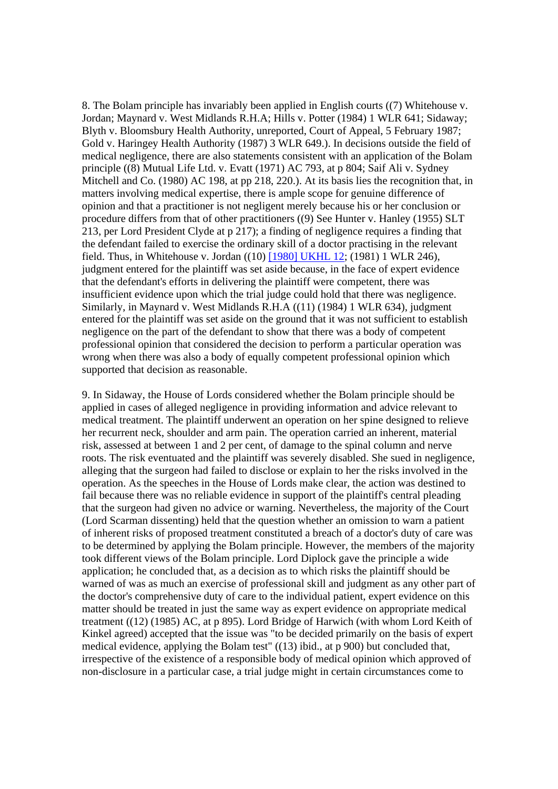8. The Bolam principle has invariably been applied in English courts ((7) Whitehouse v. Jordan; Maynard v. West Midlands R.H.A; Hills v. Potter (1984) 1 WLR 641; Sidaway; Blyth v. Bloomsbury Health Authority, unreported, Court of Appeal, 5 February 1987; Gold v. Haringey Health Authority (1987) 3 WLR 649.). In decisions outside the field of medical negligence, there are also statements consistent with an application of the Bolam principle ((8) Mutual Life Ltd. v. Evatt (1971) AC 793, at p 804; Saif Ali v. Sydney Mitchell and Co. (1980) AC 198, at pp 218, 220.). At its basis lies the recognition that, in matters involving medical expertise, there is ample scope for genuine difference of opinion and that a practitioner is not negligent merely because his or her conclusion or procedure differs from that of other practitioners ((9) See Hunter v. Hanley (1955) SLT 213, per Lord President Clyde at p 217); a finding of negligence requires a finding that the defendant failed to exercise the ordinary skill of a doctor practising in the relevant field. Thus, in Whitehouse v. Jordan ((10) [1980] UKHL 12; (1981) 1 WLR 246), judgment entered for the plaintiff was set aside because, in the face of expert evidence that the defendant's efforts in delivering the plaintiff were competent, there was insufficient evidence upon which the trial judge could hold that there was negligence. Similarly, in Maynard v. West Midlands R.H.A ((11) (1984) 1 WLR 634), judgment entered for the plaintiff was set aside on the ground that it was not sufficient to establish negligence on the part of the defendant to show that there was a body of competent professional opinion that considered the decision to perform a particular operation was wrong when there was also a body of equally competent professional opinion which supported that decision as reasonable.

9. In Sidaway, the House of Lords considered whether the Bolam principle should be applied in cases of alleged negligence in providing information and advice relevant to medical treatment. The plaintiff underwent an operation on her spine designed to relieve her recurrent neck, shoulder and arm pain. The operation carried an inherent, material risk, assessed at between 1 and 2 per cent, of damage to the spinal column and nerve roots. The risk eventuated and the plaintiff was severely disabled. She sued in negligence, alleging that the surgeon had failed to disclose or explain to her the risks involved in the operation. As the speeches in the House of Lords make clear, the action was destined to fail because there was no reliable evidence in support of the plaintiff's central pleading that the surgeon had given no advice or warning. Nevertheless, the majority of the Court (Lord Scarman dissenting) held that the question whether an omission to warn a patient of inherent risks of proposed treatment constituted a breach of a doctor's duty of care was to be determined by applying the Bolam principle. However, the members of the majority took different views of the Bolam principle. Lord Diplock gave the principle a wide application; he concluded that, as a decision as to which risks the plaintiff should be warned of was as much an exercise of professional skill and judgment as any other part of the doctor's comprehensive duty of care to the individual patient, expert evidence on this matter should be treated in just the same way as expert evidence on appropriate medical treatment ((12) (1985) AC, at p 895). Lord Bridge of Harwich (with whom Lord Keith of Kinkel agreed) accepted that the issue was "to be decided primarily on the basis of expert medical evidence, applying the Bolam test" ((13) ibid., at p 900) but concluded that, irrespective of the existence of a responsible body of medical opinion which approved of non-disclosure in a particular case, a trial judge might in certain circumstances come to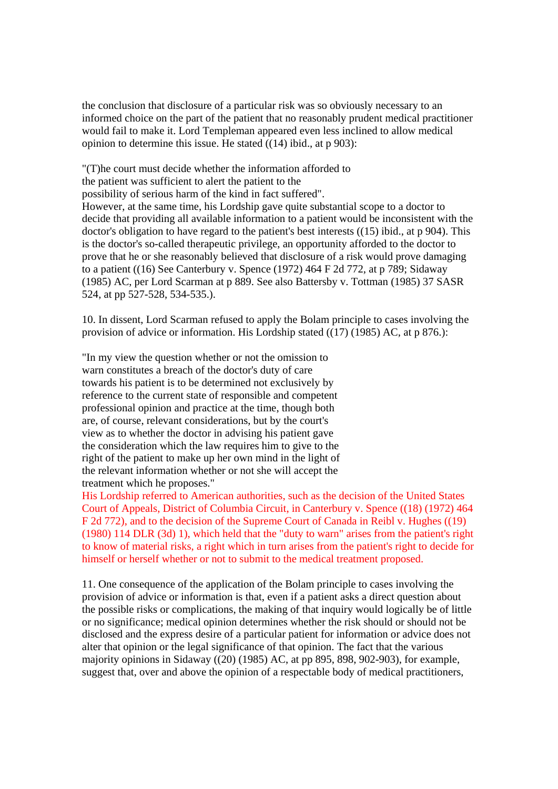the conclusion that disclosure of a particular risk was so obviously necessary to an informed choice on the part of the patient that no reasonably prudent medical practitioner would fail to make it. Lord Templeman appeared even less inclined to allow medical opinion to determine this issue. He stated ((14) ibid., at p 903):

"(T)he court must decide whether the information afforded to

the patient was sufficient to alert the patient to the

possibility of serious harm of the kind in fact suffered".

However, at the same time, his Lordship gave quite substantial scope to a doctor to decide that providing all available information to a patient would be inconsistent with the doctor's obligation to have regard to the patient's best interests ((15) ibid., at p 904). This is the doctor's so-called therapeutic privilege, an opportunity afforded to the doctor to prove that he or she reasonably believed that disclosure of a risk would prove damaging to a patient ((16) See Canterbury v. Spence (1972) 464 F 2d 772, at p 789; Sidaway (1985) AC, per Lord Scarman at p 889. See also Battersby v. Tottman (1985) 37 SASR 524, at pp 527-528, 534-535.).

10. In dissent, Lord Scarman refused to apply the Bolam principle to cases involving the provision of advice or information. His Lordship stated ((17) (1985) AC, at p 876.):

"In my view the question whether or not the omission to warn constitutes a breach of the doctor's duty of care towards his patient is to be determined not exclusively by reference to the current state of responsible and competent professional opinion and practice at the time, though both are, of course, relevant considerations, but by the court's view as to whether the doctor in advising his patient gave the consideration which the law requires him to give to the right of the patient to make up her own mind in the light of the relevant information whether or not she will accept the treatment which he proposes."

His Lordship referred to American authorities, such as the decision of the United States Court of Appeals, District of Columbia Circuit, in Canterbury v. Spence ((18) (1972) 464 F 2d 772), and to the decision of the Supreme Court of Canada in Reibl v. Hughes ((19) (1980) 114 DLR (3d) 1), which held that the "duty to warn" arises from the patient's right to know of material risks, a right which in turn arises from the patient's right to decide for himself or herself whether or not to submit to the medical treatment proposed.

11. One consequence of the application of the Bolam principle to cases involving the provision of advice or information is that, even if a patient asks a direct question about the possible risks or complications, the making of that inquiry would logically be of little or no significance; medical opinion determines whether the risk should or should not be disclosed and the express desire of a particular patient for information or advice does not alter that opinion or the legal significance of that opinion. The fact that the various majority opinions in Sidaway ((20) (1985) AC, at pp 895, 898, 902-903), for example, suggest that, over and above the opinion of a respectable body of medical practitioners,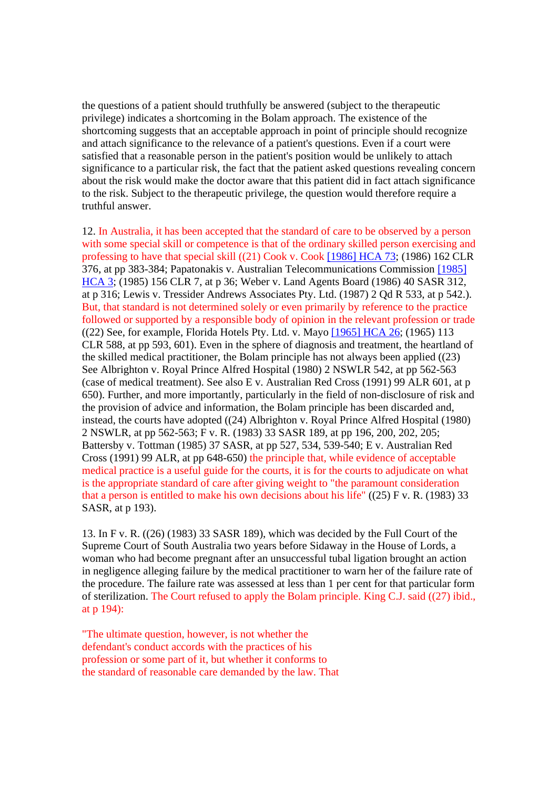the questions of a patient should truthfully be answered (subject to the therapeutic privilege) indicates a shortcoming in the Bolam approach. The existence of the shortcoming suggests that an acceptable approach in point of principle should recognize and attach significance to the relevance of a patient's questions. Even if a court were satisfied that a reasonable person in the patient's position would be unlikely to attach significance to a particular risk, the fact that the patient asked questions revealing concern about the risk would make the doctor aware that this patient did in fact attach significance to the risk. Subject to the therapeutic privilege, the question would therefore require a truthful answer.

12. In Australia, it has been accepted that the standard of care to be observed by a person with some special skill or competence is that of the ordinary skilled person exercising and professing to have that special skill ((21) Cook v. Cook [1986] HCA 73; (1986) 162 CLR 376, at pp 383-384; Papatonakis v. Australian Telecommunications Commission [1985] HCA 3; (1985) 156 CLR 7, at p 36; Weber v. Land Agents Board (1986) 40 SASR 312, at p 316; Lewis v. Tressider Andrews Associates Pty. Ltd. (1987) 2 Qd R 533, at p 542.). But, that standard is not determined solely or even primarily by reference to the practice followed or supported by a responsible body of opinion in the relevant profession or trade  $((22)$  See, for example, Florida Hotels Pty. Ltd. v. Mayo  $[1965]$  HCA 26; (1965) 113 CLR 588, at pp 593, 601). Even in the sphere of diagnosis and treatment, the heartland of the skilled medical practitioner, the Bolam principle has not always been applied ((23) See Albrighton v. Royal Prince Alfred Hospital (1980) 2 NSWLR 542, at pp 562-563 (case of medical treatment). See also E v. Australian Red Cross (1991) 99 ALR 601, at p 650). Further, and more importantly, particularly in the field of non-disclosure of risk and the provision of advice and information, the Bolam principle has been discarded and, instead, the courts have adopted ((24) Albrighton v. Royal Prince Alfred Hospital (1980) 2 NSWLR, at pp 562-563; F v. R. (1983) 33 SASR 189, at pp 196, 200, 202, 205; Battersby v. Tottman (1985) 37 SASR, at pp 527, 534, 539-540; E v. Australian Red Cross (1991) 99 ALR, at pp 648-650) the principle that, while evidence of acceptable medical practice is a useful guide for the courts, it is for the courts to adjudicate on what is the appropriate standard of care after giving weight to "the paramount consideration that a person is entitled to make his own decisions about his life"  $((25)$  F v. R. (1983) 33 SASR, at p 193).

13. In F v. R. ((26) (1983) 33 SASR 189), which was decided by the Full Court of the Supreme Court of South Australia two years before Sidaway in the House of Lords, a woman who had become pregnant after an unsuccessful tubal ligation brought an action in negligence alleging failure by the medical practitioner to warn her of the failure rate of the procedure. The failure rate was assessed at less than 1 per cent for that particular form of sterilization. The Court refused to apply the Bolam principle. King C.J. said ((27) ibid., at p 194):

"The ultimate question, however, is not whether the defendant's conduct accords with the practices of his profession or some part of it, but whether it conforms to the standard of reasonable care demanded by the law. That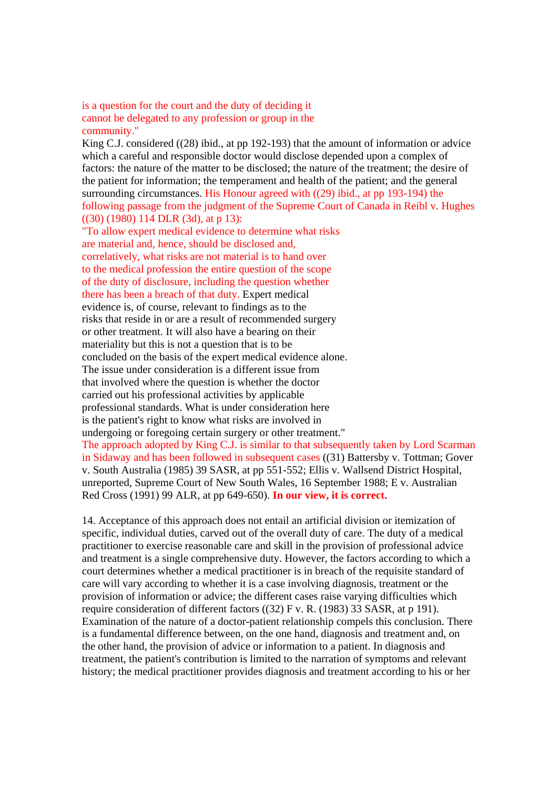is a question for the court and the duty of deciding it cannot be delegated to any profession or group in the community."

King C.J. considered ((28) ibid., at pp 192-193) that the amount of information or advice which a careful and responsible doctor would disclose depended upon a complex of factors: the nature of the matter to be disclosed; the nature of the treatment; the desire of the patient for information; the temperament and health of the patient; and the general surrounding circumstances. His Honour agreed with ((29) ibid., at pp 193-194) the following passage from the judgment of the Supreme Court of Canada in Reibl v. Hughes ((30) (1980) 114 DLR (3d), at p 13):

"To allow expert medical evidence to determine what risks are material and, hence, should be disclosed and, correlatively, what risks are not material is to hand over to the medical profession the entire question of the scope of the duty of disclosure, including the question whether there has been a breach of that duty. Expert medical evidence is, of course, relevant to findings as to the risks that reside in or are a result of recommended surgery or other treatment. It will also have a bearing on their materiality but this is not a question that is to be concluded on the basis of the expert medical evidence alone. The issue under consideration is a different issue from that involved where the question is whether the doctor carried out his professional activities by applicable professional standards. What is under consideration here is the patient's right to know what risks are involved in undergoing or foregoing certain surgery or other treatment." The approach adopted by King C.J. is similar to that subsequently taken by Lord Scarman in Sidaway and has been followed in subsequent cases ((31) Battersby v. Tottman; Gover v. South Australia (1985) 39 SASR, at pp 551-552; Ellis v. Wallsend District Hospital, unreported, Supreme Court of New South Wales, 16 September 1988; E v. Australian Red Cross (1991) 99 ALR, at pp 649-650). **In our view, it is correct.**

14. Acceptance of this approach does not entail an artificial division or itemization of specific, individual duties, carved out of the overall duty of care. The duty of a medical practitioner to exercise reasonable care and skill in the provision of professional advice and treatment is a single comprehensive duty. However, the factors according to which a court determines whether a medical practitioner is in breach of the requisite standard of care will vary according to whether it is a case involving diagnosis, treatment or the provision of information or advice; the different cases raise varying difficulties which require consideration of different factors ((32) F v. R. (1983) 33 SASR, at p 191). Examination of the nature of a doctor-patient relationship compels this conclusion. There is a fundamental difference between, on the one hand, diagnosis and treatment and, on the other hand, the provision of advice or information to a patient. In diagnosis and treatment, the patient's contribution is limited to the narration of symptoms and relevant history; the medical practitioner provides diagnosis and treatment according to his or her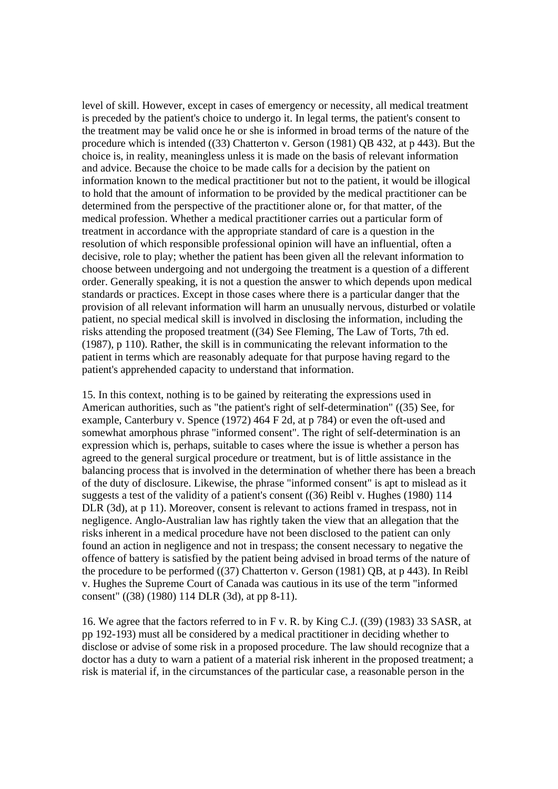level of skill. However, except in cases of emergency or necessity, all medical treatment is preceded by the patient's choice to undergo it. In legal terms, the patient's consent to the treatment may be valid once he or she is informed in broad terms of the nature of the procedure which is intended ((33) Chatterton v. Gerson (1981) QB 432, at p 443). But the choice is, in reality, meaningless unless it is made on the basis of relevant information and advice. Because the choice to be made calls for a decision by the patient on information known to the medical practitioner but not to the patient, it would be illogical to hold that the amount of information to be provided by the medical practitioner can be determined from the perspective of the practitioner alone or, for that matter, of the medical profession. Whether a medical practitioner carries out a particular form of treatment in accordance with the appropriate standard of care is a question in the resolution of which responsible professional opinion will have an influential, often a decisive, role to play; whether the patient has been given all the relevant information to choose between undergoing and not undergoing the treatment is a question of a different order. Generally speaking, it is not a question the answer to which depends upon medical standards or practices. Except in those cases where there is a particular danger that the provision of all relevant information will harm an unusually nervous, disturbed or volatile patient, no special medical skill is involved in disclosing the information, including the risks attending the proposed treatment ((34) See Fleming, The Law of Torts, 7th ed. (1987), p 110). Rather, the skill is in communicating the relevant information to the patient in terms which are reasonably adequate for that purpose having regard to the patient's apprehended capacity to understand that information.

15. In this context, nothing is to be gained by reiterating the expressions used in American authorities, such as "the patient's right of self-determination" ((35) See, for example, Canterbury v. Spence (1972) 464 F 2d, at p 784) or even the oft-used and somewhat amorphous phrase "informed consent". The right of self-determination is an expression which is, perhaps, suitable to cases where the issue is whether a person has agreed to the general surgical procedure or treatment, but is of little assistance in the balancing process that is involved in the determination of whether there has been a breach of the duty of disclosure. Likewise, the phrase "informed consent" is apt to mislead as it suggests a test of the validity of a patient's consent ((36) Reibl v. Hughes (1980) 114 DLR (3d), at p 11). Moreover, consent is relevant to actions framed in trespass, not in negligence. Anglo-Australian law has rightly taken the view that an allegation that the risks inherent in a medical procedure have not been disclosed to the patient can only found an action in negligence and not in trespass; the consent necessary to negative the offence of battery is satisfied by the patient being advised in broad terms of the nature of the procedure to be performed ((37) Chatterton v. Gerson (1981) QB, at p 443). In Reibl v. Hughes the Supreme Court of Canada was cautious in its use of the term "informed consent" ((38) (1980) 114 DLR (3d), at pp 8-11).

16. We agree that the factors referred to in F v. R. by King C.J. ((39) (1983) 33 SASR, at pp 192-193) must all be considered by a medical practitioner in deciding whether to disclose or advise of some risk in a proposed procedure. The law should recognize that a doctor has a duty to warn a patient of a material risk inherent in the proposed treatment; a risk is material if, in the circumstances of the particular case, a reasonable person in the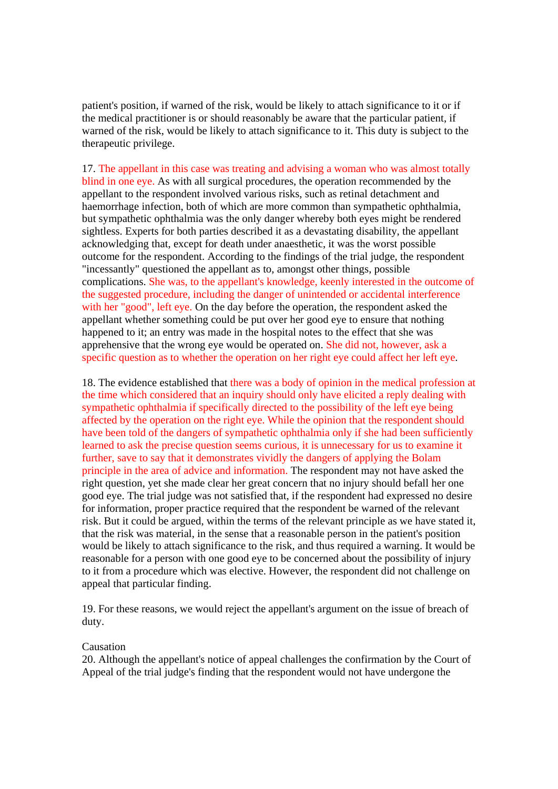patient's position, if warned of the risk, would be likely to attach significance to it or if the medical practitioner is or should reasonably be aware that the particular patient, if warned of the risk, would be likely to attach significance to it. This duty is subject to the therapeutic privilege.

17. The appellant in this case was treating and advising a woman who was almost totally blind in one eye. As with all surgical procedures, the operation recommended by the appellant to the respondent involved various risks, such as retinal detachment and haemorrhage infection, both of which are more common than sympathetic ophthalmia, but sympathetic ophthalmia was the only danger whereby both eyes might be rendered sightless. Experts for both parties described it as a devastating disability, the appellant acknowledging that, except for death under anaesthetic, it was the worst possible outcome for the respondent. According to the findings of the trial judge, the respondent "incessantly" questioned the appellant as to, amongst other things, possible complications. She was, to the appellant's knowledge, keenly interested in the outcome of the suggested procedure, including the danger of unintended or accidental interference with her "good", left eye. On the day before the operation, the respondent asked the appellant whether something could be put over her good eye to ensure that nothing happened to it; an entry was made in the hospital notes to the effect that she was apprehensive that the wrong eye would be operated on. She did not, however, ask a specific question as to whether the operation on her right eye could affect her left eye.

18. The evidence established that there was a body of opinion in the medical profession at the time which considered that an inquiry should only have elicited a reply dealing with sympathetic ophthalmia if specifically directed to the possibility of the left eye being affected by the operation on the right eye. While the opinion that the respondent should have been told of the dangers of sympathetic ophthalmia only if she had been sufficiently learned to ask the precise question seems curious, it is unnecessary for us to examine it further, save to say that it demonstrates vividly the dangers of applying the Bolam principle in the area of advice and information. The respondent may not have asked the right question, yet she made clear her great concern that no injury should befall her one good eye. The trial judge was not satisfied that, if the respondent had expressed no desire for information, proper practice required that the respondent be warned of the relevant risk. But it could be argued, within the terms of the relevant principle as we have stated it, that the risk was material, in the sense that a reasonable person in the patient's position would be likely to attach significance to the risk, and thus required a warning. It would be reasonable for a person with one good eye to be concerned about the possibility of injury to it from a procedure which was elective. However, the respondent did not challenge on appeal that particular finding.

19. For these reasons, we would reject the appellant's argument on the issue of breach of duty.

#### Causation

20. Although the appellant's notice of appeal challenges the confirmation by the Court of Appeal of the trial judge's finding that the respondent would not have undergone the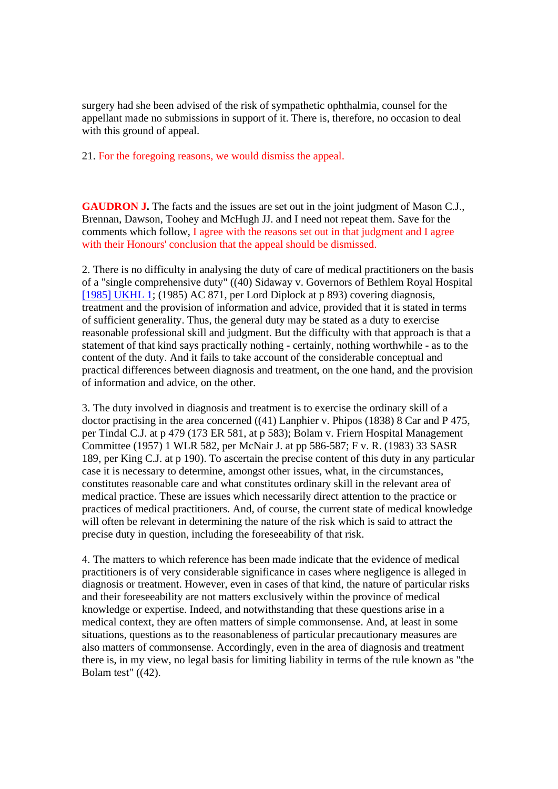surgery had she been advised of the risk of sympathetic ophthalmia, counsel for the appellant made no submissions in support of it. There is, therefore, no occasion to deal with this ground of appeal.

21. For the foregoing reasons, we would dismiss the appeal.

**GAUDRON J.** The facts and the issues are set out in the joint judgment of Mason C.J., Brennan, Dawson, Toohey and McHugh JJ. and I need not repeat them. Save for the comments which follow, I agree with the reasons set out in that judgment and I agree with their Honours' conclusion that the appeal should be dismissed.

2. There is no difficulty in analysing the duty of care of medical practitioners on the basis of a "single comprehensive duty" ((40) Sidaway v. Governors of Bethlem Royal Hospital [1985] UKHL 1; (1985) AC 871, per Lord Diplock at p 893) covering diagnosis, treatment and the provision of information and advice, provided that it is stated in terms of sufficient generality. Thus, the general duty may be stated as a duty to exercise reasonable professional skill and judgment. But the difficulty with that approach is that a statement of that kind says practically nothing - certainly, nothing worthwhile - as to the content of the duty. And it fails to take account of the considerable conceptual and practical differences between diagnosis and treatment, on the one hand, and the provision of information and advice, on the other.

3. The duty involved in diagnosis and treatment is to exercise the ordinary skill of a doctor practising in the area concerned ((41) Lanphier v. Phipos (1838) 8 Car and P 475, per Tindal C.J. at p 479 (173 ER 581, at p 583); Bolam v. Friern Hospital Management Committee (1957) 1 WLR 582, per McNair J. at pp 586-587; F v. R. (1983) 33 SASR 189, per King C.J. at p 190). To ascertain the precise content of this duty in any particular case it is necessary to determine, amongst other issues, what, in the circumstances, constitutes reasonable care and what constitutes ordinary skill in the relevant area of medical practice. These are issues which necessarily direct attention to the practice or practices of medical practitioners. And, of course, the current state of medical knowledge will often be relevant in determining the nature of the risk which is said to attract the precise duty in question, including the foreseeability of that risk.

4. The matters to which reference has been made indicate that the evidence of medical practitioners is of very considerable significance in cases where negligence is alleged in diagnosis or treatment. However, even in cases of that kind, the nature of particular risks and their foreseeability are not matters exclusively within the province of medical knowledge or expertise. Indeed, and notwithstanding that these questions arise in a medical context, they are often matters of simple commonsense. And, at least in some situations, questions as to the reasonableness of particular precautionary measures are also matters of commonsense. Accordingly, even in the area of diagnosis and treatment there is, in my view, no legal basis for limiting liability in terms of the rule known as "the Bolam test"  $((42)$ .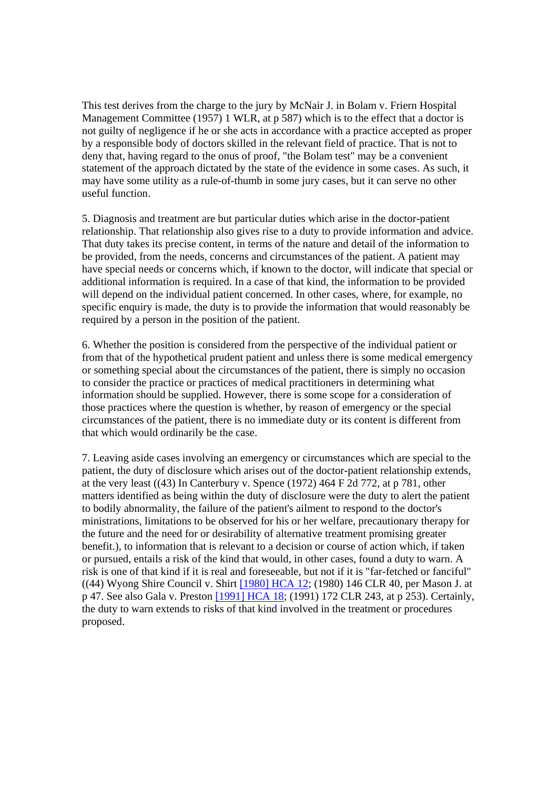This test derives from the charge to the jury by McNair J. in Bolam v. Friern Hospital Management Committee (1957) 1 WLR, at p 587) which is to the effect that a doctor is not guilty of negligence if he or she acts in accordance with a practice accepted as proper by a responsible body of doctors skilled in the relevant field of practice. That is not to deny that, having regard to the onus of proof, "the Bolam test" may be a convenient statement of the approach dictated by the state of the evidence in some cases. As such, it may have some utility as a rule-of-thumb in some jury cases, but it can serve no other useful function.

5. Diagnosis and treatment are but particular duties which arise in the doctor-patient relationship. That relationship also gives rise to a duty to provide information and advice. That duty takes its precise content, in terms of the nature and detail of the information to be provided, from the needs, concerns and circumstances of the patient. A patient may have special needs or concerns which, if known to the doctor, will indicate that special or additional information is required. In a case of that kind, the information to be provided will depend on the individual patient concerned. In other cases, where, for example, no specific enquiry is made, the duty is to provide the information that would reasonably be required by a person in the position of the patient.

6. Whether the position is considered from the perspective of the individual patient or from that of the hypothetical prudent patient and unless there is some medical emergency or something special about the circumstances of the patient, there is simply no occasion to consider the practice or practices of medical practitioners in determining what information should be supplied. However, there is some scope for a consideration of those practices where the question is whether, by reason of emergency or the special circumstances of the patient, there is no immediate duty or its content is different from that which would ordinarily be the case.

7. Leaving aside cases involving an emergency or circumstances which are special to the patient, the duty of disclosure which arises out of the doctor-patient relationship extends, at the very least ((43) In Canterbury v. Spence (1972) 464 F 2d 772, at p 781, other matters identified as being within the duty of disclosure were the duty to alert the patient to bodily abnormality, the failure of the patient's ailment to respond to the doctor's ministrations, limitations to be observed for his or her welfare, precautionary therapy for the future and the need for or desirability of alternative treatment promising greater benefit.), to information that is relevant to a decision or course of action which, if taken or pursued, entails a risk of the kind that would, in other cases, found a duty to warn. A risk is one of that kind if it is real and foreseeable, but not if it is "far-fetched or fanciful" ((44) Wyong Shire Council v. Shirt [1980] HCA 12; (1980) 146 CLR 40, per Mason J. at p 47. See also Gala v. Preston [1991] HCA 18; (1991) 172 CLR 243, at p 253). Certainly, the duty to warn extends to risks of that kind involved in the treatment or procedures proposed.